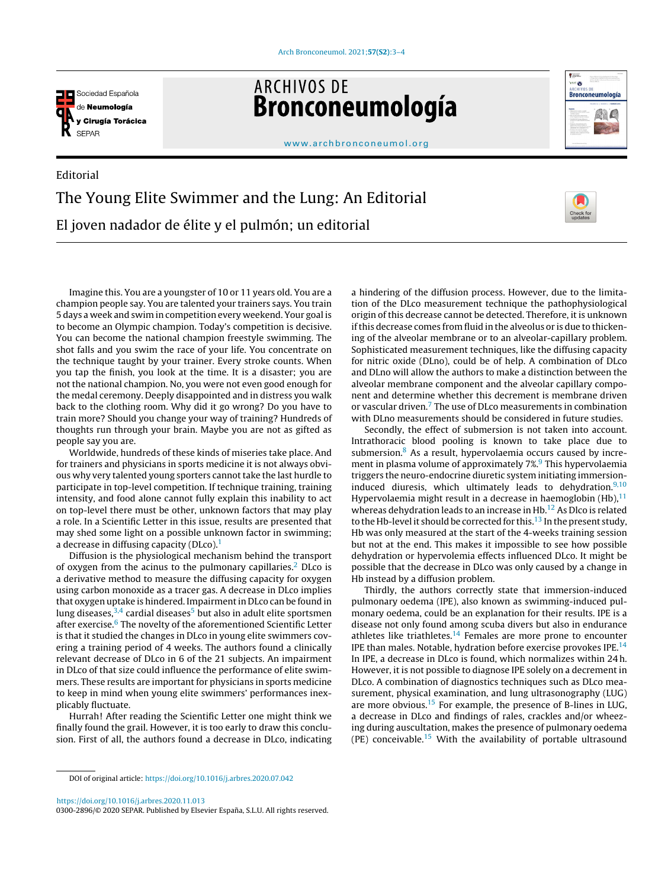

Editorial

**ARCHIVOS DE** Bronconeumología



[www.archbronconeumol.org](http://www.archbronconeumol.org)

## The Young Elite Swimmer and the Lung: An Editorial El joven nadador de élite y el pulmón; un editorial



Imagine this. You are a youngster of 10 or 11 years old. You are a champion people say. You are talented your trainers says. You train 5 days a week and swim in competition every weekend. Your goal is to become an Olympic champion. Today's competition is decisive. You can become the national champion freestyle swimming. The shot falls and you swim the race of your life. You concentrate on the technique taught by your trainer. Every stroke counts. When you tap the finish, you look at the time. It is a disaster; you are not the national champion. No, you were not even good enough for the medal ceremony. Deeply disappointed and in distress you walk back to the clothing room. Why did it go wrong? Do you have to train more? Should you change your way of training? Hundreds of thoughts run through your brain. Maybe you are not as gifted as people say you are.

Worldwide, hundreds of these kinds of miseries take place. And for trainers and physicians in sports medicine it is not always obvious why very talented young sporters cannot take the last hurdle to participate in top-level competition. If technique training, training intensity, and food alone cannot fully explain this inability to act on top-level there must be other, unknown factors that may play a role. In a Scientific Letter in this issue, results are presented that may shed some light on a possible unknown factor in swimming; a decrease in diffusing capacity (DLco).<sup>[1](#page-1-0)</sup>

Diffusion is the physiological mechanism behind the transport of oxygen from the acinus to the pulmonary capillaries.<sup>[2](#page-1-0)</sup> DLco is a derivative method to measure the diffusing capacity for oxygen using carbon monoxide as a tracer gas. A decrease in DLco implies that oxygen uptake is hindered. Impairmentin DLco can be found in lung diseases,  $3,4$  cardial diseases<sup>5</sup> [b](#page-1-0)ut also in adult elite sportsmen after exercise.<sup>6</sup> [T](#page-1-0)he novelty of the aforementioned Scientific Letter is that it studied the changes in DLco in young elite swimmers covering a training period of 4 weeks. The authors found a clinically relevant decrease of DLco in 6 of the 21 subjects. An impairment in DLco of that size could influence the performance of elite swimmers. These results are important for physicians in sports medicine to keep in mind when young elite swimmers' performances inexplicably fluctuate.

Hurrah! After reading the Scientific Letter one might think we finally found the grail. However, it is too early to draw this conclusion. First of all, the authors found a decrease in DLco, indicating a hindering of the diffusion process. However, due to the limitation of the DLco measurement technique the pathophysiological origin of this decrease cannot be detected. Therefore, it is unknown ifthis decrease comes from fluid in the alveolus or is due to thickening of the alveolar membrane or to an alveolar-capillary problem. Sophisticated measurement techniques, like the diffusing capacity for nitric oxide (DLno), could be of help. A combination of DLco and DLno will allow the authors to make a distinction between the alveolar membrane component and the alveolar capillary component and determine whether this decrement is membrane driven or vascular driven.[7](#page-1-0) The use of DLco measurements in combination with DLno measurements should be considered in future studies.

Secondly, the effect of submersion is not taken into account. Intrathoracic blood pooling is known to take place due to submersion. $8$  As a result, hypervolaemia occurs caused by increment in plasma volume of approximately  $7\%, 9$  [T](#page-1-0)his hypervolaemia triggers the neuro-endocrine diuretic system initiating immersioninduced diuresis, which ultimately leads to dehydration. $9,10$ Hypervolaemia might result in a decrease in haemoglobin  $(Hb)$ ,  $^{11}$  $^{11}$  $^{11}$ whereas dehydration leads to an increase in Hb.<sup>[12](#page-1-0)</sup> As Dlco is related to the Hb-level it should be corrected for this.<sup>[13](#page-1-0)</sup> In the present study, Hb was only measured at the start of the 4-weeks training session but not at the end. This makes it impossible to see how possible dehydration or hypervolemia effects influenced DLco. It might be possible that the decrease in DLco was only caused by a change in Hb instead by a diffusion problem.

Thirdly, the authors correctly state that immersion-induced pulmonary oedema (IPE), also known as swimming-induced pulmonary oedema, could be an explanation for their results. IPE is a disease not only found among scuba divers but also in endurance athletes like triathletes.<sup>[14](#page-1-0)</sup> Females are more prone to encounter IPE than males. Notable, hydration before exercise provokes IPE.<sup>[14](#page-1-0)</sup> In IPE, a decrease in DLco is found, which normalizes within 24 h. However, it is not possible to diagnose IPE solely on a decrement in DLco. A combination of diagnostics techniques such as DLco measurement, physical examination, and lung ultrasonography (LUG) are more obvious.[15](#page-1-0) For example, the presence of B-lines in LUG, a decrease in DLco and findings of rales, crackles and/or wheezing during auscultation, makes the presence of pulmonary oedema (PE) conceivable.<sup>[15](#page-1-0)</sup> With the availability of portable ultrasound

<https://doi.org/10.1016/j.arbres.2020.11.013>

DOI of original article: <https://doi.org/10.1016/j.arbres.2020.07.042>

<sup>0300-2896/© 2020</sup> SEPAR. Published by Elsevier España, S.L.U. All rights reserved.